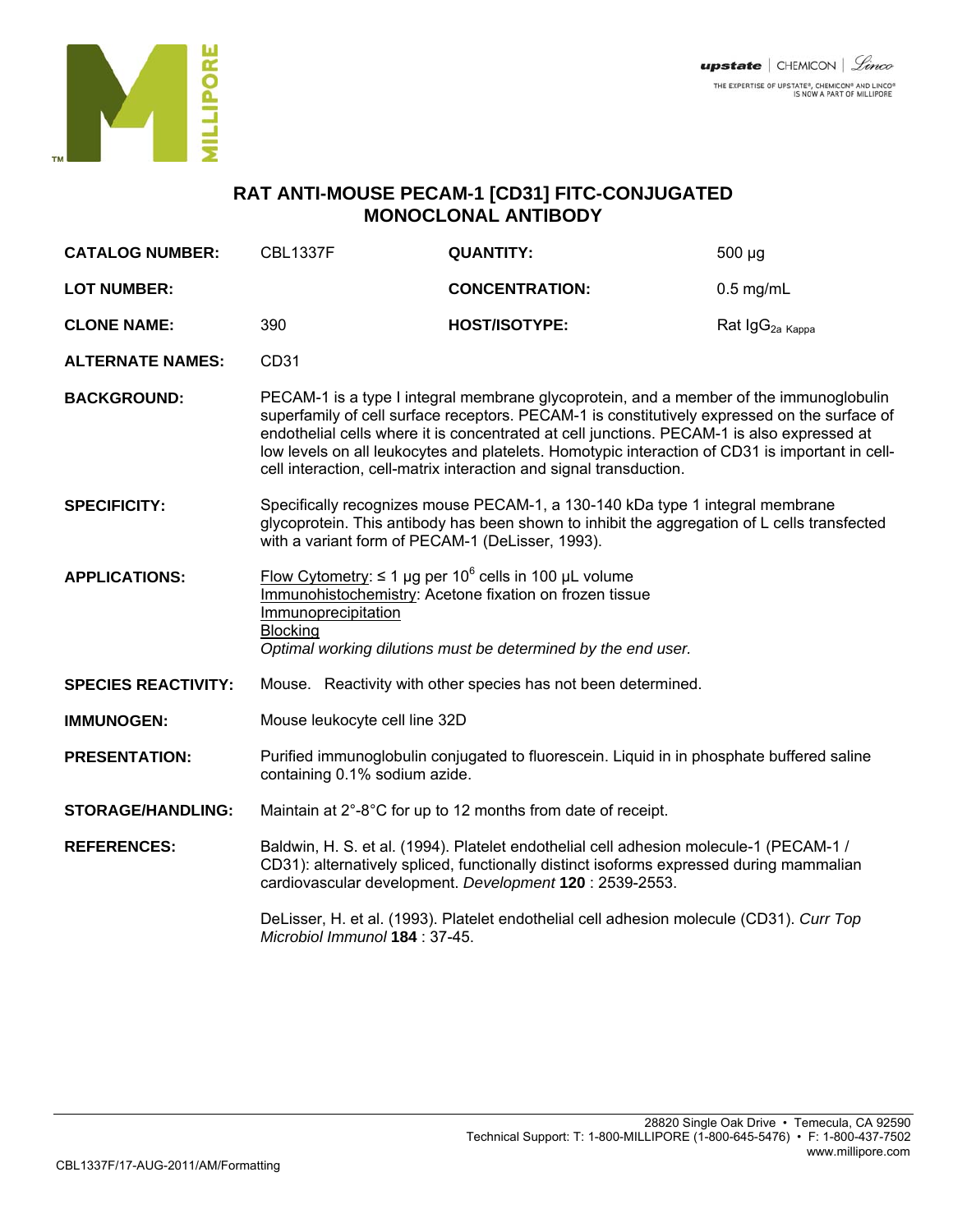

## **RAT ANTI-MOUSE PECAM-1 [CD31] FITC-CONJUGATED MONOCLONAL ANTIBODY**

| <b>CATALOG NUMBER:</b>     | <b>CBL1337F</b>                                                                                                                                                                                                                                                                                                                                                                                                                                               | <b>QUANTITY:</b>      | $500 \mu g$                 |
|----------------------------|---------------------------------------------------------------------------------------------------------------------------------------------------------------------------------------------------------------------------------------------------------------------------------------------------------------------------------------------------------------------------------------------------------------------------------------------------------------|-----------------------|-----------------------------|
| <b>LOT NUMBER:</b>         |                                                                                                                                                                                                                                                                                                                                                                                                                                                               | <b>CONCENTRATION:</b> | $0.5$ mg/mL                 |
| <b>CLONE NAME:</b>         | 390                                                                                                                                                                                                                                                                                                                                                                                                                                                           | <b>HOST/ISOTYPE:</b>  | Rat IgG <sub>2a Kappa</sub> |
| <b>ALTERNATE NAMES:</b>    | CD31                                                                                                                                                                                                                                                                                                                                                                                                                                                          |                       |                             |
| <b>BACKGROUND:</b>         | PECAM-1 is a type I integral membrane glycoprotein, and a member of the immunoglobulin<br>superfamily of cell surface receptors. PECAM-1 is constitutively expressed on the surface of<br>endothelial cells where it is concentrated at cell junctions. PECAM-1 is also expressed at<br>low levels on all leukocytes and platelets. Homotypic interaction of CD31 is important in cell-<br>cell interaction, cell-matrix interaction and signal transduction. |                       |                             |
| <b>SPECIFICITY:</b>        | Specifically recognizes mouse PECAM-1, a 130-140 kDa type 1 integral membrane<br>glycoprotein. This antibody has been shown to inhibit the aggregation of L cells transfected<br>with a variant form of PECAM-1 (DeLisser, 1993).                                                                                                                                                                                                                             |                       |                             |
| <b>APPLICATIONS:</b>       | Flow Cytometry: ≤ 1 µg per 10 <sup>6</sup> cells in 100 µL volume<br>Immunohistochemistry: Acetone fixation on frozen tissue<br>Immunoprecipitation<br><b>Blocking</b><br>Optimal working dilutions must be determined by the end user.                                                                                                                                                                                                                       |                       |                             |
| <b>SPECIES REACTIVITY:</b> | Mouse. Reactivity with other species has not been determined.                                                                                                                                                                                                                                                                                                                                                                                                 |                       |                             |
| <b>IMMUNOGEN:</b>          | Mouse leukocyte cell line 32D                                                                                                                                                                                                                                                                                                                                                                                                                                 |                       |                             |
| <b>PRESENTATION:</b>       | Purified immunoglobulin conjugated to fluorescein. Liquid in in phosphate buffered saline<br>containing 0.1% sodium azide.                                                                                                                                                                                                                                                                                                                                    |                       |                             |
| <b>STORAGE/HANDLING:</b>   | Maintain at 2°-8°C for up to 12 months from date of receipt.                                                                                                                                                                                                                                                                                                                                                                                                  |                       |                             |
| <b>REFERENCES:</b>         | Baldwin, H. S. et al. (1994). Platelet endothelial cell adhesion molecule-1 (PECAM-1 /<br>CD31): alternatively spliced, functionally distinct isoforms expressed during mammalian<br>cardiovascular development. Development 120 : 2539-2553.                                                                                                                                                                                                                 |                       |                             |
|                            | DeLisser, H. et al. (1993). Platelet endothelial cell adhesion molecule (CD31). Curr Top<br>Microbiol Immunol 184 : 37-45.                                                                                                                                                                                                                                                                                                                                    |                       |                             |